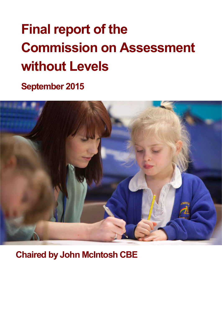# **Final report of the Commission on Assessment without Levels**

**September 2015**



**Chaired by John McIntosh CBE**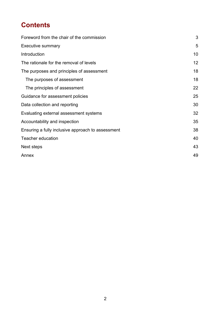# **Contents**

| Foreword from the chair of the commission         | 3  |
|---------------------------------------------------|----|
| <b>Executive summary</b>                          | 5  |
| Introduction                                      | 10 |
| The rationale for the removal of levels           | 12 |
| The purposes and principles of assessment         | 18 |
| The purposes of assessment                        | 18 |
| The principles of assessment                      | 22 |
| Guidance for assessment policies                  | 25 |
| Data collection and reporting                     | 30 |
| Evaluating external assessment systems            | 32 |
| Accountability and inspection                     | 35 |
| Ensuring a fully inclusive approach to assessment | 38 |
| <b>Teacher education</b>                          | 40 |
| Next steps                                        | 43 |
| Annex                                             | 49 |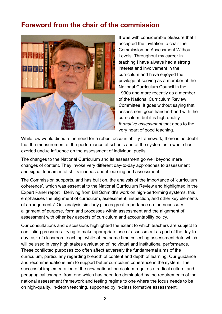# <span id="page-2-0"></span>**Foreword from the chair of the commission**



It was with considerable pleasure that I accepted the invitation to chair the Commission on Assessment Without Levels. Throughout my career in teaching I have always had a strong interest and involvement in the curriculum and have enjoyed the privilege of serving as a member of the National Curriculum Council in the 1990s and more recently as a member of the National Curriculum Review Committee. It goes without saying that assessment goes hand-in-hand with the curriculum; but it is high quality *formative assessment* that goes to the very heart of good teaching.

While few would dispute the need for a robust accountability framework, there is no doubt that the measurement of the performance of schools and of the system as a whole has exerted undue influence on the assessment of individual pupils.

The changes to the National Curriculum and its assessment go well beyond mere changes of content. They invoke very different day-to-day approaches to assessment and signal fundamental shifts in ideas about learning and assessment.

The Commission supports, and has built on, the analysis of the importance of 'curriculum coherence', which was essential to the National Curriculum Review and highlighted in the Expert Panel report<sup>[1](#page-47-0)</sup>. Deriving from Bill Schmidt's work on high-performing systems, this emphasises the alignment of curriculum, assessment, inspection, and other key elements of arrangements<sup>2</sup>. Our analysis similarly places great importance on the necessary alignment of purpose, form and processes within assessment and the alignment of assessment with other key aspects of curriculum and accountability policy.

Our consultations and discussions highlighted the extent to which teachers are subject to conflicting pressures: trying to make appropriate use of assessment as part of the day-today task of classroom teaching, while at the same time collecting assessment data which will be used in very high stakes evaluation of individual and institutional performance. These conflicted purposes too often affect adversely the fundamental aims of the curriculum, particularly regarding breadth of content and depth of learning. Our guidance and recommendations aim to support better curriculum coherence in the system. The successful implementation of the new national curriculum requires a radical cultural and pedagogical change, from one which has been too dominated by the requirements of the national assessment framework and testing regime to one where the focus needs to be on high-quality, in-depth teaching, supported by in-class formative assessment.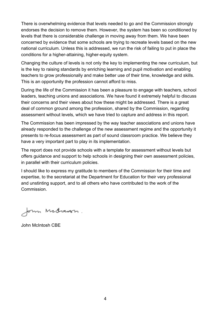There is overwhelming evidence that levels needed to go and the Commission strongly endorses the decision to remove them. However, the system has been so conditioned by levels that there is considerable challenge in moving away from them. We have been concerned by evidence that some schools are trying to recreate levels based on the new national curriculum. Unless this is addressed, we run the risk of failing to put in place the conditions for a higher-attaining, higher-equity system.

Changing the culture of levels is not only the key to implementing the new curriculum, but is the key to raising standards by enriching learning and pupil motivation and enabling teachers to grow professionally and make better use of their time, knowledge and skills. This is an opportunity the profession cannot afford to miss.

During the life of the Commission it has been a pleasure to engage with teachers, school leaders, teaching unions and associations. We have found it extremely helpful to discuss their concerns and their views about how these might be addressed. There is a great deal of common ground among the profession, shared by the Commission, regarding assessment without levels, which we have tried to capture and address in this report.

The Commission has been impressed by the way teacher associations and unions have already responded to the challenge of the new assessment regime and the opportunity it presents to re-focus assessment as part of sound classroom practice. We believe they have a very important part to play in its implementation.

The report does not provide schools with a template for assessment without levels but offers guidance and support to help schools in designing their own assessment policies, in parallel with their curriculum policies.

I should like to express my gratitude to members of the Commission for their time and expertise, to the secretariat at the Department for Education for their very professional and unstinting support, and to all others who have contributed to the work of the Commission.

form Metrousn.

John McIntosh CBE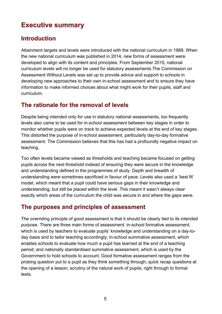# <span id="page-4-0"></span>**Executive summary**

### **Introduction**

Attainment targets and levels were introduced with the national curriculum in 1988. When the new national curriculum was published in 2014, new forms of assessment were developed to align with its content and principles. From September 2015, national curriculum levels will no longer be used for statutory assessments.The Commission on Assessment Without Levels was set up to provide advice and support to schools in developing new approaches to their own in-school assessment and to ensure they have information to make informed choices about what might work for their pupils, staff and curriculum.

### **The rationale for the removal of levels**

Despite being intended only for use in statutory national assessments, too frequently levels also came to be used for in-school assessment between key stages in order to monitor whether pupils were on track to achieve expected levels at the end of key stages. This distorted the purpose of in-school assessment, particularly day-to-day formative assessment. The Commission believes that this has had a profoundly negative impact on teaching.

Too often levels became viewed as thresholds and teaching became focused on getting pupils across the next threshold instead of ensuring they were secure in the knowledge and understanding defined in the programmes of study. Depth and breadth of understanding were sometimes sacrificed in favour of pace. Levels also used a 'best fit' model, which meant that a pupil could have serious gaps in their knowledge and understanding, but still be placed within the level. This meant it wasn't always clear exactly which areas of the curriculum the child was secure in and where the gaps were.

# **The purposes and principles of assessment**

The overriding principle of good assessment is that it should be clearly tied to its intended purpose. There are three main forms of assessment: in-school formative assessment, which is used by teachers to evaluate pupils' knowledge and understanding on a day-today basis and to tailor teaching accordingly; in-school summative assessment, which enables schools to evaluate how much a pupil has learned at the end of a teaching period; and nationally standardised summative assessment, which is used by the Government to hold schools to account. Good formative assessment ranges from the probing question put to a pupil as they think something through; quick recap questions at the opening of a lesson; scrutiny of the natural work of pupils; right through to formal tests.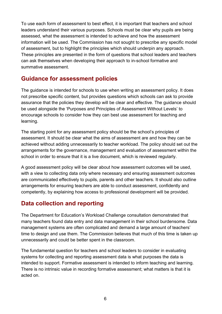To use each form of assessment to best effect, it is important that teachers and school leaders understand their various purposes. Schools must be clear why pupils are being assessed, what the assessment is intended to achieve and how the assessment information will be used. The Commission has not sought to prescribe any specific model of assessment, but to highlight the principles which should underpin any approach. These principles are presented in the form of questions that school leaders and teachers can ask themselves when developing their approach to in-school formative and summative assessment.

### **Guidance for assessment policies**

The guidance is intended for schools to use when writing an assessment policy. It does not prescribe specific content, but provides questions which schools can ask to provide assurance that the policies they develop will be clear and effective. The guidance should be used alongside the 'Purposes and Principles of Assessment Without Levels' to encourage schools to consider how they can best use assessment for teaching and learning.

The starting point for any assessment policy should be the school's principles of assessment. It should be clear what the aims of assessment are and how they can be achieved without adding unnecessarily to teacher workload. The policy should set out the arrangements for the governance, management and evaluation of assessment within the school in order to ensure that it is a live document, which is reviewed regularly.

A good assessment policy will be clear about how assessment outcomes will be used, with a view to collecting data only where necessary and ensuring assessment outcomes are communicated effectively to pupils, parents and other teachers. It should also outline arrangements for ensuring teachers are able to conduct assessment, confidently and competently, by explaining how access to professional development will be provided.

### **Data collection and reporting**

The Department for Education's Workload Challenge consultation demonstrated that many teachers found data entry and data management in their school burdensome. Data management systems are often complicated and demand a large amount of teachers' time to design and use them. The Commission believes that much of this time is taken up unnecessarily and could be better spent in the classroom.

The fundamental question for teachers and school leaders to consider in evaluating systems for collecting and reporting assessment data is what purposes the data is intended to support. Formative assessment is intended to inform teaching and learning. There is no intrinsic value in recording formative assessment; what matters is that it is acted on.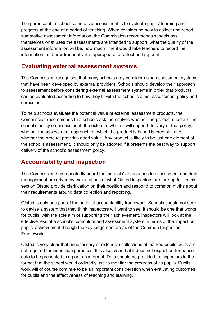The purpose of in-school summative assessment is to evaluate pupils' learning and progress at the end of a period of teaching. When considering how to collect and report summative assessment information, the Commission recommends schools ask themselves what uses the assessments are intended to support, what the quality of the assessment information will be, how much time it would take teachers to record the information, and how frequently it is appropriate to collect and report it.

### **Evaluating external assessment systems**

The Commission recognises that many schools may consider using assessment systems that have been developed by external providers. Schools should develop their approach to assessment before considering external assessment systems in order that products can be evaluated according to how they fit with the school's aims, assessment policy and curriculum.

To help schools evaluate the potential value of external assessment products, the Commission recommends that schools ask themselves whether the product supports the school's policy on assessment, the extent to which it will support delivery of that policy, whether the assessment approach on which the product is based is credible, and whether the product provides good value. Any product is likely to be just one element of the school's assessment. It should only be adopted if it presents the best way to support delivery of the school's assessment policy.

# **Accountability and inspection**

The Commission has repeatedly heard that schools' approaches to assessment and data management are driven by expectations of what Ofsted inspectors are looking for. In this section Ofsted provide clarification on their position and respond to common myths about their requirements around data collection and reporting.

Ofsted is only one part of the national accountability framework. Schools should not seek to devise a system that they think inspectors will want to see; it should be one that works for pupils, with the sole aim of supporting their achievement. Inspectors will look at the effectiveness of a school's curriculum and assessment system in terms of the impact on pupils' achievement through the key judgement areas of the Common Inspection Framework.

Ofsted is very clear that unnecessary or extensive collections of marked pupils' work are not required for inspection purposes. It is also clear that it does not expect performance data to be presented in a particular format. Data should be provided to inspectors in the format that the school would ordinarily use to monitor the progress of its pupils. Pupils' work will of course continue to be an important consideration when evaluating outcomes for pupils and the effectiveness of teaching and learning.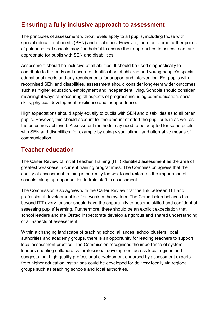# **Ensuring a fully inclusive approach to assessment**

The principles of assessment without levels apply to all pupils, including those with special educational needs (SEN) and disabilities. However, there are some further points of guidance that schools may find helpful to ensure their approaches to assessment are appropriate for pupils with SEN and disabilities.

Assessment should be inclusive of all abilities. It should be used diagnostically to contribute to the early and accurate identification of children and young people's special educational needs and any requirements for support and intervention. For pupils with recognised SEN and disabilities, assessment should consider long-term wider outcomes such as higher education, employment and independent living. Schools should consider meaningful ways of measuring all aspects of progress including communication, social skills, physical development, resilience and independence.

High expectations should apply equally to pupils with SEN and disabilities as to all other pupils. However, this should account for the amount of effort the pupil puts in as well as the outcomes achieved. Assessment methods may need to be adapted for some pupils with SEN and disabilities, for example by using visual stimuli and alternative means of communication.

### **Teacher education**

The Carter Review of Initial Teacher Training (ITT) identified assessment as the area of greatest weakness in current training programmes. The Commission agrees that the quality of assessment training is currently too weak and reiterates the importance of schools taking up opportunities to train staff in assessment.

The Commission also agrees with the Carter Review that the link between ITT and professional development is often weak in the system. The Commission believes that beyond ITT every teacher should have the opportunity to become skilled and confident at assessing pupils' learning. Furthermore, there should be an explicit expectation that school leaders and the Ofsted inspectorate develop a rigorous and shared understanding of all aspects of assessment.

Within a changing landscape of teaching school alliances, school clusters, local authorities and academy groups, there is an opportunity for leading teachers to support local assessment practice. The Commission recognises the importance of system leaders enabling collaborative professional development across local regions and suggests that high quality professional development endorsed by assessment experts from higher education institutions could be developed for delivery locally via regional groups such as teaching schools and local authorities.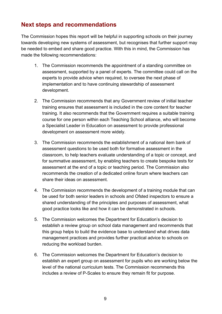### **Next steps and recommendations**

The Commission hopes this report will be helpful in supporting schools on their journey towards developing new systems of assessment, but recognises that further support may be needed to embed and share good practice. With this in mind, the Commission has made the following recommendations:

- 1. The Commission recommends the appointment of a standing committee on assessment, supported by a panel of experts. The committee could call on the experts to provide advice when required, to oversee the next phase of implementation and to have continuing stewardship of assessment development.
- 2. The Commission recommends that any Government review of initial teacher training ensures that assessment is included in the core content for teacher training. It also recommends that the Government requires a suitable training course for one person within each Teaching School alliance, who will become a Specialist Leader in Education on assessment to provide professional development on assessment more widely.
- 3. The Commission recommends the establishment of a national item bank of assessment questions to be used both for formative assessment in the classroom, to help teachers evaluate understanding of a topic or concept, and for summative assessment, by enabling teachers to create bespoke tests for assessment at the end of a topic or teaching period. The Commission also recommends the creation of a dedicated online forum where teachers can share their ideas on assessment.
- 4. The Commission recommends the development of a training module that can be used for both senior leaders in schools and Ofsted inspectors to ensure a shared understanding of the principles and purposes of assessment, what good practice looks like and how it can be demonstrated in schools.
- 5. The Commission welcomes the Department for Education's decision to establish a review group on school data management and recommends that this group helps to build the evidence base to understand what drives data management practices and provides further practical advice to schools on reducing the workload burden.
- 6. The Commission welcomes the Department for Education's decision to establish an expert group on assessment for pupils who are working below the level of the national curriculum tests. The Commission recommends this includes a review of P-Scales to ensure they remain fit for purpose.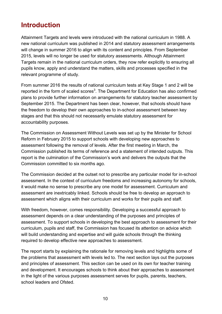# <span id="page-9-0"></span>**Introduction**

Attainment Targets and levels were introduced with the national curriculum in 1988. A new national curriculum was published in 2014 and statutory assessment arrangements will change in summer 2016 to align with its content and principles. From September 2015, levels will no longer be used for statutory assessments. Although Attainment Targets remain in the national curriculum orders, they now refer explicitly to ensuring all pupils know, apply and understand the matters, skills and processes specified in the relevant programme of study.

From summer 2016 the results of national curriculum tests at Key Stage 1 and 2 will be reported in the form of scaled scores<sup>3</sup>. The Department for Education has also confirmed plans to provide further information on arrangements for statutory teacher assessment by September 2015. The Department has been clear, however, that schools should have the freedom to develop their own approaches to in-school assessment between key stages and that this should not necessarily emulate statutory assessment for accountability purposes.

The Commission on Assessment Without Levels was set up by the Minister for School Reform in February 2015 to support schools with developing new approaches to assessment following the removal of levels. After the first meeting in March, the Commission published its terms of reference and a statement of intended outputs. This report is the culmination of the Commission's work and delivers the outputs that the Commission committed to six months ago.

The Commission decided at the outset not to prescribe any particular model for in-school assessment. In the context of curriculum freedoms and increasing autonomy for schools, it would make no sense to prescribe any one model for assessment. Curriculum and assessment are inextricably linked. Schools should be free to develop an approach to assessment which aligns with their curriculum and works for their pupils and staff.

With freedom, however, comes responsibility. Developing a successful approach to assessment depends on a clear understanding of the purposes and principles of assessment. To support schools in developing the best approach to assessment for their curriculum, pupils and staff, the Commission has focused its attention on advice which will build understanding and expertise and will guide schools through the thinking required to develop effective new approaches to assessment.

The report starts by explaining the rationale for removing levels and highlights some of the problems that assessment with levels led to. The next section lays out the purposes and principles of assessment. This section can be used on its own for teacher training and development. It encourages schools to think about their approaches to assessment in the light of the various purposes assessment serves for pupils, parents, teachers, school leaders and Ofsted.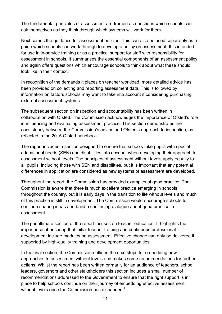The fundamental principles of assessment are framed as questions which schools can ask themselves as they think through which systems will work for them.

Next comes the guidance for assessment policies. This can also be used separately as a guide which schools can work through to develop a policy on assessment. It is intended for use in in-service training or as a practical support for staff with responsibility for assessment in schools. It summarises the essential components of an assessment policy and again offers questions which encourage schools to think about what these should look like in their context.

In recognition of the demands it places on teacher workload, more detailed advice has been provided on collecting and reporting assessment data. This is followed by information on factors schools may want to take into account if considering purchasing external assessment systems.

The subsequent section on inspection and accountability has been written in collaboration with Ofsted. The Commission acknowledges the importance of Ofsted's role in influencing and evaluating assessment practice. This section demonstrates the consistency between the Commission's advice and Ofsted's approach to inspection, as reflected in the 2015 Ofsted handbook.

The report includes a section designed to ensure that schools take pupils with special educational needs (SEN) and disabilities into account when developing their approach to assessment without levels. The principles of assessment without levels apply equally to all pupils, including those with SEN and disabilities, but it is important that any potential differences in application are considered as new systems of assessment are developed.

Throughout the report, the Commission has provided examples of good practice. The Commission is aware that there is much excellent practice emerging in schools throughout the country, but it is early days in the transition to life without levels and much of this practice is still in development. The Commission would encourage schools to continue sharing ideas and build a continuing dialogue about good practice in assessment.

The penultimate section of the report focuses on teacher education. It highlights the importance of ensuring that initial teacher training and continuous professional development include modules on assessment. Effective change can only be delivered if supported by high-quality training and development opportunities.

In the final section, the Commission outlines the next steps for embedding new approaches to assessment without levels and makes some recommendations for further actions. Whilst the report has been written primarily for an audience of teachers, school leaders, governors and other stakeholders this section includes a small number of recommendations addressed to the Government to ensure that the right support is in place to help schools continue on their journey of embedding effective assessment without levels once the Commission has disbanded.<sup>4</sup>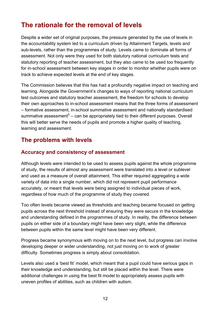# <span id="page-11-0"></span>**The rationale for the removal of levels**

Despite a wider set of original purposes, the pressure generated by the use of levels in the accountability system led to a curriculum driven by Attainment Targets, levels and sub-levels, rather than the programmes of study. Levels came to dominate all forms of assessment. Not only were they used for both statutory national curriculum tests and statutory reporting of teacher assessment, but they also came to be used too frequently for in-school assessment between key stages in order to monitor whether pupils were on track to achieve expected levels at the end of key stages.

The Commission believes that this has had a profoundly negative impact on teaching and learning. Alongside the Government's changes to ways of reporting national curriculum test outcomes and statutory teacher assessment, the freedom for schools to develop their own approaches to in-school assessment means that the three forms of assessment – formative assessment, in-school summative assessment and nationally standardised summative assessment<sup>5</sup> – can be appropriately tied to their different purposes. Overall this will better serve the needs of pupils and promote a higher quality of teaching, learning and assessment.

### **The problems with levels**

### **Accuracy and consistency of assessment**

Although levels were intended to be used to assess pupils against the whole programme of study, the results of almost any assessment were translated into a level or sublevel and used as a measure of overall attainment. This either required aggregating a wide variety of data into a single number, which did not represent pupil performance accurately, or meant that levels were being assigned to individual pieces of work, regardless of how much of the programme of study they covered.

Too often levels became viewed as thresholds and teaching became focused on getting pupils across the next threshold instead of ensuring they were secure in the knowledge and understanding defined in the programmes of study. In reality, the difference between pupils on either side of a boundary might have been very slight, while the difference between pupils within the same level might have been very different.

Progress became synonymous with moving on to the next level, but progress can involve developing deeper or wider understanding, not just moving on to work of greater difficulty. Sometimes progress is simply about consolidation.

Levels also used a 'best fit' model, which meant that a pupil could have serious gaps in their knowledge and understanding, but still be placed within the level. There were additional challenges in using the best fit model to appropriately assess pupils with uneven profiles of abilities, such as children with autism.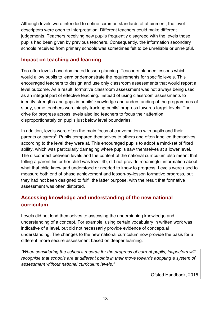Although levels were intended to define common standards of attainment, the level descriptors were open to interpretation. Different teachers could make different judgements. Teachers receiving new pupils frequently disagreed with the levels those pupils had been given by previous teachers. Consequently, the information secondary schools received from primary schools was sometimes felt to be unreliable or unhelpful.

### **Impact on teaching and learning**

Too often levels have dominated lesson planning. Teachers planned lessons which would allow pupils to learn or demonstrate the requirements for specific levels. This encouraged teachers to design and use only classroom assessments that would report a level outcome. As a result, formative classroom assessment was not always being used as an integral part of effective teaching. Instead of using classroom assessments to identify strengths and gaps in pupils' knowledge and understanding of the programmes of study, some teachers were simply tracking pupils' progress towards target levels. The drive for progress across levels also led teachers to focus their attention disproportionately on pupils just below level boundaries.

In addition, levels were often the main focus of conversations with pupils and their parents or carers<sup>6</sup>. Pupils compared themselves to others and often labelled themselves according to the level they were at. This encouraged pupils to adopt a mind-set of fixed ability, which was particularly damaging where pupils saw themselves at a lower level. The disconnect between levels and the content of the national curriculum also meant that telling a parent his or her child was level 4b, did not provide meaningful information about what that child knew and understood or needed to know to progress. Levels were used to measure both end of phase achievement and lesson-by-lesson formative progress, but they had not been designed to fulfil the latter purpose, with the result that formative assessment was often distorted.

### **Assessing knowledge and understanding of the new national curriculum**

Levels did not lend themselves to assessing the underpinning knowledge and understanding of a concept. For example, using certain vocabulary in written work was indicative of a level, but did not necessarily provide evidence of conceptual understanding. The changes to the new national curriculum now provide the basis for a different, more secure assessment based on deeper learning.

*"When considering the school's records for the progress of current pupils, inspectors will recognise that schools are at different points in their move towards adopting a system of assessment without national curriculum levels."*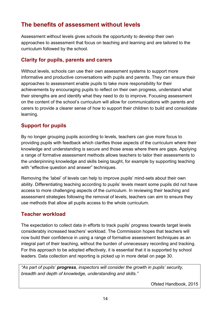# **The benefits of assessment without levels**

Assessment without levels gives schools the opportunity to develop their own approaches to assessment that focus on teaching and learning and are tailored to the curriculum followed by the school.

### **Clarity for pupils, parents and carers**

Without levels, schools can use their own assessment systems to support more informative and productive conversations with pupils and parents. They can ensure their approaches to assessment enable pupils to take more responsibility for their achievements by encouraging pupils to reflect on their own progress, understand what their strengths are and identify what they need to do to improve. Focusing assessment on the content of the school's curriculum will allow for communications with parents and carers to provide a clearer sense of how to support their children to build and consolidate learning.

### **Support for pupils**

By no longer grouping pupils according to levels, teachers can give more focus to providing pupils with feedback which clarifies those aspects of the curriculum where their knowledge and understanding is secure and those areas where there are gaps. Applying a range of formative assessment methods allows teachers to tailor their assessments to the underpinning knowledge and skills being taught, for example by supporting teaching with "effective question and answer" techniques.

Removing the 'label' of levels can help to improve pupils' mind-sets about their own ability. Differentiating teaching according to pupils' levels meant some pupils did not have access to more challenging aspects of the curriculum. In reviewing their teaching and assessment strategies following the removal of levels, teachers can aim to ensure they use methods that allow all pupils access to the whole curriculum.

### **Teacher workload**

The expectation to collect data in efforts to track pupils' progress towards target levels considerably increased teachers' workload. The Commission hopes that teachers will now build their confidence in using a range of formative assessment techniques as an integral part of their teaching, without the burden of unnecessary recording and tracking. For this approach to be adopted effectively, it is essential that it is supported by school leaders. Data collection and reporting is picked up in more detail on page 30.

*"As part of pupils' progress, inspectors will consider the growth in pupils' security, breadth and depth of knowledge, understanding and skills."*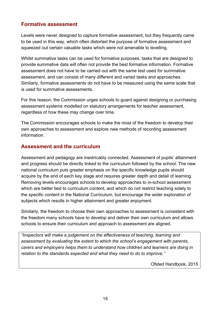### **Formative assessment**

Levels were never designed to capture formative assessment, but they frequently came to be used in this way, which often distorted the purpose of formative assessment and squeezed out certain valuable tasks which were not amenable to levelling.

Whilst summative tasks can be used for formative purposes, tasks that are designed to provide summative data will often not provide the best formative information. Formative assessment does not have to be carried out with the same test used for summative assessment, and can consist of many different and varied tasks and approaches. Similarly, formative assessments do not have to be measured using the same scale that is used for summative assessments.

For this reason, the Commission urges schools to guard against designing or purchasing assessment systems modelled on statutory arrangements for teacher assessment, regardless of how these may change over time.

The Commission encourages schools to make the most of the freedom to develop their own approaches to assessment and explore new methods of recording assessment information.

### **Assessment and the curriculum**

Assessment and pedagogy are inextricably connected. Assessment of pupils' attainment and progress should be directly linked to the curriculum followed by the school. The new national curriculum puts greater emphasis on the specific knowledge pupils should acquire by the end of each key stage and requires greater depth and detail of learning. Removing levels encourages schools to develop approaches to in-school assessment which are better tied to curriculum content, and which do not restrict teaching solely to the specific content in the National Curriculum, but encourage the wider exploration of subjects which results in higher attainment and greater enjoyment.

Similarly, the freedom to choose their own approaches to assessment is consistent with the freedom many schools have to develop and deliver their own curriculum and allows schools to ensure their curriculum and approach to assessment are aligned.

*"Inspectors will make a judgement on the effectiveness of teaching, learning and assessment by evaluating the extent to which the school's engagement with parents, carers and employers helps them to understand how children and learners are doing in relation to the standards expected and what they need to do to improve,"*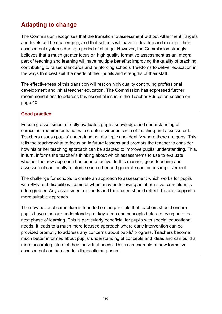# **Adapting to change**

The Commission recognises that the transition to assessment without Attainment Targets and levels will be challenging, and that schools will have to develop and manage their assessment systems during a period of change. However, the Commission strongly believes that a much greater focus on high quality formative assessment as an integral part of teaching and learning will have multiple benefits: improving the quality of teaching, contributing to raised standards and reinforcing schools' freedoms to deliver education in the ways that best suit the needs of their pupils and strengths of their staff.

The effectiveness of this transition will rest on high quality continuing professional development and initial teacher education. The Commission has expressed further recommendations to address this essential issue in the Teacher Education section on page 40.

#### **Good practice**

Ensuring assessment directly evaluates pupils' knowledge and understanding of curriculum requirements helps to create a virtuous circle of teaching and assessment. Teachers assess pupils' understanding of a topic and identify where there are gaps. This tells the teacher what to focus on in future lessons and prompts the teacher to consider how his or her teaching approach can be adapted to improve pupils' understanding. This, in turn, informs the teacher's thinking about which assessments to use to evaluate whether the new approach has been effective. In this manner, good teaching and assessment continually reinforce each other and generate continuous improvement.

The challenge for schools to create an approach to assessment which works for pupils with SEN and disabilities, some of whom may be following an alternative curriculum, is often greater. Any assessment methods and tools used should reflect this and support a more suitable approach.

The new national curriculum is founded on the principle that teachers should ensure pupils have a secure understanding of key ideas and concepts before moving onto the next phase of learning. This is particularly beneficial for pupils with special educational needs. It leads to a much more focused approach where early intervention can be provided promptly to address any concerns about pupils' progress. Teachers become much better informed about pupils' understanding of concepts and ideas and can build a more accurate picture of their individual needs. This is an example of how formative assessment can be used for diagnostic purposes.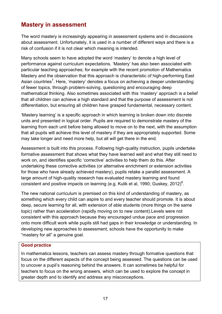# **Mastery in assessment**

The word mastery is increasingly appearing in assessment systems and in discussions about assessment. Unfortunately, it is used in a number of different ways and there is a risk of confusion if it is not clear which meaning is intended.

Many schools seem to have adopted the word 'mastery' to denote a high level of performance against curriculum expectations. 'Mastery' has also been associated with particular teaching approaches; for example with the recent promotion of Mathematics Mastery and the observation that this approach is characteristic of high-performing East Asian countries<sup>7</sup>. Here, 'mastery' denotes a focus on achieving a deeper understanding of fewer topics, through problem-solving, questioning and encouraging deep mathematical thinking. Also sometimes associated with this 'mastery' approach is a belief that all children can achieve a high standard and that the purpose of assessment is not differentiation, but ensuring all children have grasped fundamental, necessary content.

'Mastery learning' is a specific approach in which learning is broken down into discrete units and presented in logical order. Pupils are required to demonstrate mastery of the learning from each unit before being allowed to move on to the next, with the assumption that all pupils will achieve this level of mastery if they are appropriately supported. Some may take longer and need more help, but all will get there in the end.

Assessment is built into this process. Following high-quality instruction, pupils undertake formative assessment that shows what they have learned well and what they still need to work on, and identifies specific 'corrective' activities to help them do this. After undertaking these corrective activities (or alternative enrichment or extension activities for those who have already achieved mastery), pupils retake a parallel assessment. A large amount of high-quality research has evaluated mastery learning and found consistent and positive impacts on learning (e.g. Kulik et al, 1990; Guskey, 2012)<sup>8</sup>.

The new national curriculum is premised on this kind of understanding of mastery, as something which every child can aspire to and every teacher should promote. It is about deep, secure learning for all, with extension of able students (more things on the same topic) rather than acceleration (rapidly moving on to new content).Levels were not consistent with this approach because they encouraged undue pace and progression onto more difficult work while pupils still had gaps in their knowledge or understanding. In developing new approaches to assessment, schools have the opportunity to make "mastery for all" a genuine goal.

#### **Good practice**

In mathematics lessons, teachers can assess mastery through formative questions that focus on the different aspects of the concept being assessed. The questions can be used to uncover a pupil's reasoning behind the answers. It can sometimes be helpful for teachers to focus on the wrong answers, which can be used to explore the concept in greater depth and to identify and address any misconceptions.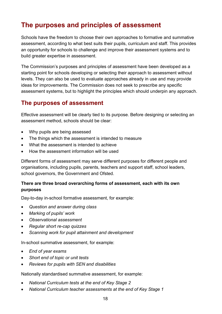# <span id="page-17-0"></span>**The purposes and principles of assessment**

Schools have the freedom to choose their own approaches to formative and summative assessment, according to what best suits their pupils, curriculum and staff. This provides an opportunity for schools to challenge and improve their assessment systems and to build greater expertise in assessment.

The Commission's purposes and principles of assessment have been developed as a starting point for schools developing or selecting their approach to assessment without levels. They can also be used to evaluate approaches already in use and may provide ideas for improvements. The Commission does not seek to prescribe any specific assessment systems, but to highlight the principles which should underpin any approach.

### <span id="page-17-1"></span>**The purposes of assessment**

Effective assessment will be clearly tied to its purpose. Before designing or selecting an assessment method, schools should be clear:

- Why pupils are being assessed
- The things which the assessment is intended to measure
- What the assessment is intended to achieve
- How the assessment information will be used

Different forms of assessment may serve different purposes for different people and organisations, including pupils, parents, teachers and support staff, school leaders, school governors, the Government and Ofsted.

### **There are three broad overarching forms of assessment, each with its own purposes**

Day-to-day in-school formative assessment, for example:

- *Question and answer during class*
- *Marking of pupils' work*
- *Observational assessment*
- *Regular short re-cap quizzes*
- *Scanning work for pupil attainment and development*

In-school summative assessment, for example:

- *End of year exams*
- *Short end of topic or unit tests*
- *Reviews for pupils with SEN and disabilities*

Nationally standardised summative assessment, for example:

- *National Curriculum tests at the end of Key Stage 2*
- *National Curriculum teacher assessments at the end of Key Stage 1*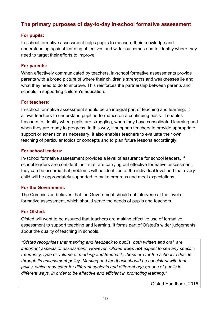### **The primary purposes of day-to-day in-school formative assessment**

### **For pupils:**

In-school formative assessment helps pupils to measure their knowledge and understanding against learning objectives and wider outcomes and to identify where they need to target their efforts to improve.

#### **For parents:**

When effectively communicated by teachers, in-school formative assessments provide parents with a broad picture of where their children's strengths and weaknesses lie and what they need to do to improve. This reinforces the partnership between parents and schools in supporting children's education.

#### **For teachers:**

In-school formative assessment should be an integral part of teaching and learning. It allows teachers to understand pupil performance on a continuing basis. It enables teachers to identify when pupils are struggling, when they have consolidated learning and when they are ready to progress. In this way, it supports teachers to provide appropriate support or extension as necessary. It also enables teachers to evaluate their own teaching of particular topics or concepts and to plan future lessons accordingly.

#### **For school leaders:**

In-school formative assessment provides a level of assurance for school leaders. If school leaders are confident their staff are carrying out effective formative assessment, they can be assured that problems will be identified at the individual level and that every child will be appropriately supported to make progress and meet expectations.

#### **For the Government:**

The Commission believes that the Government should not intervene at the level of formative assessment, which should serve the needs of pupils and teachers.

#### **For Ofsted:**

Ofsted will want to be assured that teachers are making effective use of formative assessment to support teaching and learning. It forms part of Ofsted's wider judgements about the quality of teaching in schools.

*"Ofsted recognises that marking and feedback to pupils, both written and oral, are important aspects of assessment. However, Ofsted does not expect to see any specific frequency, type or volume of marking and feedback; these are for the school to decide through its assessment policy. Marking and feedback should be consistent with that policy, which may cater for different subjects and different age groups of pupils in different ways, in order to be effective and efficient in promoting learning."*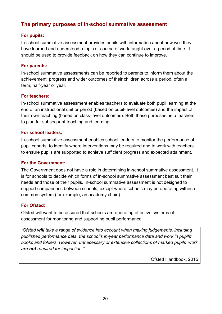### **The primary purposes of in-school summative assessment**

#### **For pupils:**

In-school summative assessment provides pupils with information about how well they have learned and understood a topic or course of work taught over a period of time. It should be used to provide feedback on how they can continue to improve.

#### **For parents:**

In-school summative assessments can be reported to parents to inform them about the achievement, progress and wider outcomes of their children across a period, often a term, half-year or year.

#### **For teachers:**

In-school summative assessment enables teachers to evaluate both pupil learning at the end of an instructional unit or period (based on pupil-level outcomes) and the impact of their own teaching (based on class-level outcomes). Both these purposes help teachers to plan for subsequent teaching and learning.

#### **For school leaders:**

In-school summative assessment enables school leaders to monitor the performance of pupil cohorts, to identify where interventions may be required and to work with teachers to ensure pupils are supported to achieve sufficient progress and expected attainment.

#### **For the Government:**

The Government does not have a role in determining in-school summative assessment. It is for schools to decide which forms of in-school summative assessment best suit their needs and those of their pupils. In-school summative assessment is not designed to support comparisons between schools, except where schools may be operating within a common system (for example, an academy chain).

### **For Ofsted:**

Ofsted will want to be assured that schools are operating effective systems of assessment for monitoring and supporting pupil performance.

*"Ofsted will take a range of evidence into account when making judgements, including published performance data, the school's in-year performance data and work in pupils' books and folders. However, unnecessary or extensive collections of marked pupils' work are not required for inspection."*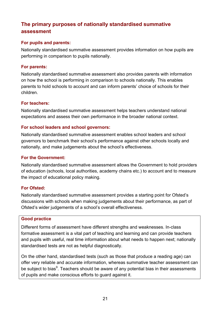### **The primary purposes of nationally standardised summative assessment**

#### **For pupils and parents:**

Nationally standardised summative assessment provides information on how pupils are performing in comparison to pupils nationally.

#### **For parents:**

Nationally standardised summative assessment also provides parents with information on how the school is performing in comparison to schools nationally. This enables parents to hold schools to account and can inform parents' choice of schools for their children.

#### **For teachers:**

Nationally standardised summative assessment helps teachers understand national expectations and assess their own performance in the broader national context.

### **For school leaders and school governors:**

Nationally standardised summative assessment enables school leaders and school governors to benchmark their school's performance against other schools locally and nationally, and make judgements about the school's effectiveness.

#### **For the Government:**

Nationally standardised summative assessment allows the Government to hold providers of education (schools, local authorities, academy chains etc.) to account and to measure the impact of educational policy making.

### **For Ofsted:**

Nationally standardised summative assessment provides a starting point for Ofsted's discussions with schools when making judgements about their performance, as part of Ofsted's wider judgements of a school's overall effectiveness.

### **Good practice**

Different forms of assessment have different strengths and weaknesses. In-class formative assessment is a vital part of teaching and learning and can provide teachers and pupils with useful, real time information about what needs to happen next; nationally standardised tests are not as helpful diagnostically.

On the other hand, standardised tests (such as those that produce a reading age) can offer very reliable and accurate information, whereas summative teacher assessment can be subject to bias<sup>9</sup>. Teachers should be aware of any potential bias in their assessments of pupils and make conscious efforts to guard against it.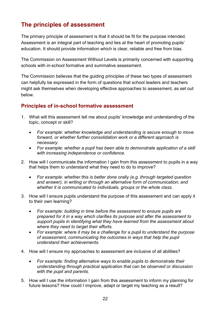# <span id="page-21-0"></span>**The principles of assessment**

The primary principle of assessment is that it should be fit for the purpose intended. Assessment is an integral part of teaching and lies at the heart of promoting pupils' education. It should provide information which is clear, reliable and free from bias.

The Commission on Assessment Without Levels is primarily concerned with supporting schools with in-school formative and summative assessment.

The Commission believes that the guiding principles of these two types of assessment can helpfully be expressed in the form of questions that school leaders and teachers might ask themselves when developing effective approaches to assessment, as set out below.

### **Principles of in-school formative assessment**

- 1. What will this assessment tell me about pupils' knowledge and understanding of the topic, concept or skill?
	- *For example: whether knowledge and understanding is secure enough to move forward, or whether further consolidation work or a different approach is necessary.*
	- *For example: whether a pupil has been able to demonstrate application of a skill with increasing independence or confidence.*
- 2. How will I communicate the information I gain from this assessment to pupils in a way that helps them to understand what they need to do to improve?
	- *For example: whether this is better done orally (e.g. through targeted question and answer), in writing or through an alternative form of communication; and whether it is communicated to individuals, groups or the whole class.*
- 3. How will I ensure pupils understand the purpose of this assessment and can apply it to their own learning?
	- *For example: building in time before the assessment to ensure pupils are prepared for it in a way which clarifies its purpose and after the assessment to support pupils in identifying what they have learned from the assessment about where they need to target their efforts.*
	- *For example: where it may be a challenge for a pupil to understand the purpose of assessment, communicating the outcomes in ways that help the pupil understand their achievements.*
- 4. How will I ensure my approaches to assessment are inclusive of all abilities?
	- *For example: finding alternative ways to enable pupils to demonstrate their understanding through practical application that can be observed or discussion with the pupil and parents.*
- 5. How will I use the information I gain from this assessment to inform my planning for future lessons? How could I improve, adapt or target my teaching as a result?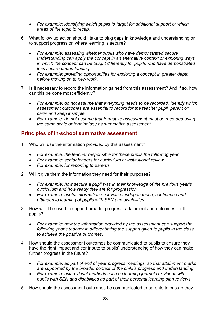- *For example: identifying which pupils to target for additional support or which areas of the topic to recap.*
- 6. What follow up action should I take to plug gaps in knowledge and understanding or to support progression where learning is secure?
	- *For example: assessing whether pupils who have demonstrated secure understanding can apply the concept in an alternative context or exploring ways in which the concept can be taught differently for pupils who have demonstrated less secure understanding.*
	- *For example: providing opportunities for exploring a concept in greater depth before moving on to new work.*
- 7. Is it necessary to record the information gained from this assessment? And if so, how can this be done most efficiently?
	- *For example: do not assume that everything needs to be recorded. Identify which assessment outcomes are essential to record for the teacher pupil, parent or carer and keep it simple.*
	- *For example: do not assume that formative assessment must be recorded using the same scale or terminology as summative assessment.*

### **Principles of in-school summative assessment**

- 1. Who will use the information provided by this assessment?
	- *For example: the teacher responsible for these pupils the following year.*
	- *For example: senior leaders for curriculum or institutional review.*
	- *For example: for reporting to parents.*
- 2. Will it give them the information they need for their purposes?
	- *For example: how secure a pupil was in their knowledge of the previous year's curriculum and how ready they are for progression.*
	- *For example: useful information on levels of independence, confidence and attitudes to learning of pupils with SEN and disabilities.*
- 3. How will it be used to support broader progress, attainment and outcomes for the pupils?
	- *For example: how the information provided by the assessment can support the following year's teacher in differentiating the support given to pupils in the class to achieve the positive outcomes.*
- 4. How should the assessment outcomes be communicated to pupils to ensure they have the right impact and contribute to pupils' understanding of how they can make further progress in the future?
	- *For example: as part of end of year progress meetings, so that attainment marks are supported by the broader context of the child's progress and understanding.*
	- *For example: using visual methods such as learning journals or videos with pupils with SEN and disabilities as part of their personal learning plan reviews.*
- 5. How should the assessment outcomes be communicated to parents to ensure they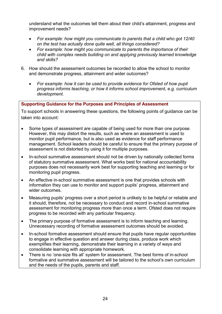understand what the outcomes tell them about their child's attainment, progress and improvement needs?

- *For example: how might you communicate to parents that a child who got 12/40 on the test has actually done quite well, all things considered?*
- *For example: how might you communicate to parents the importance of their child with complex needs building on and applying previously learned knowledge and skills?*
- 6. How should the assessment outcomes be recorded to allow the school to monitor and demonstrate progress, attainment and wider outcomes?
	- *For example: how it can be used to provide evidence for Ofsted of how pupil progress informs teaching, or how it informs school improvement, e.g. curriculum development.*

**Supporting Guidance for the Purposes and Principles of Assessment**

To support schools in answering these questions, the following points of guidance can be taken into account:

- Some types of assessment are capable of being used for more than one purpose. However, this may distort the results, such as where an assessment is used to monitor pupil performance, but is also used as evidence for staff performance management. School leaders should be careful to ensure that the primary purpose of assessment is not distorted by using it for multiple purposes.
- In-school summative assessment should not be driven by nationally collected forms of statutory summative assessment. What works best for national accountability purposes does not necessarily work best for supporting teaching and learning or for monitoring pupil progress.
- An effective in-school summative assessment is one that provides schools with information they can use to monitor and support pupils' progress, attainment and wider outcomes.
- Measuring pupils' progress over a short period is unlikely to be helpful or reliable and it should, therefore, not be necessary to conduct and record in-school summative assessment for monitoring progress more than once a term. Ofsted does not require progress to be recorded with any particular frequency.
- The primary purpose of formative assessment is to inform teaching and learning. Unnecessary recording of formative assessment outcomes should be avoided.
- In-school formative assessment should ensure that pupils have regular opportunities to engage in effective question and answer during class, produce work which exemplifies their learning, demonstrate their learning in a variety of ways and consolidate learning with appropriate homework.
- There is no 'one-size fits all' system for assessment. The best forms of in-school formative and summative assessment will be tailored to the school's own curriculum and the needs of the pupils, parents and staff.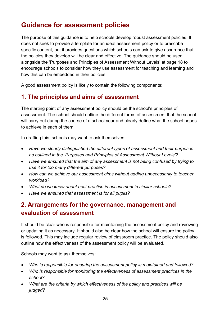# <span id="page-24-0"></span>**Guidance for assessment policies**

The purpose of this guidance is to help schools develop robust assessment policies. It does not seek to provide a template for an ideal assessment policy or to prescribe specific content, but it provides questions which schools can ask to give assurance that the policies they develop will be clear and effective. The guidance should be used alongside the 'Purposes and Principles of Assessment Without Levels' at page 18 to encourage schools to consider how they use assessment for teaching and learning and how this can be embedded in their policies.

A good assessment policy is likely to contain the following components:

# **1. The principles and aims of assessment**

The starting point of any assessment policy should be the school's principles of assessment. The school should outline the different forms of assessment that the school will carry out during the course of a school year and clearly define what the school hopes to achieve in each of them.

In drafting this, schools may want to ask themselves:

- *Have we clearly distinguished the different types of assessment and their purposes as outlined in the 'Purposes and Principles of Assessment Without Levels'?*
- *Have we ensured that the aim of any assessment is not being confused by trying to use it for too many different purposes?*
- *How can we achieve our assessment aims without adding unnecessarily to teacher workload?*
- *What do we know about best practice in assessment in similar schools?*
- *Have we ensured that assessment is for all pupils?*

# **2. Arrangements for the governance, management and evaluation of assessment**

It should be clear who is responsible for maintaining the assessment policy and reviewing or updating it as necessary. It should also be clear how the school will ensure the policy is followed. This may include regular review of classroom practice. The policy should also outline how the effectiveness of the assessment policy will be evaluated.

Schools may want to ask themselves:

- *Who is responsible for ensuring the assessment policy is maintained and followed?*
- *Who is responsible for monitoring the effectiveness of assessment practices in the school?*
- *What are the criteria by which effectiveness of the policy and practices will be judged?*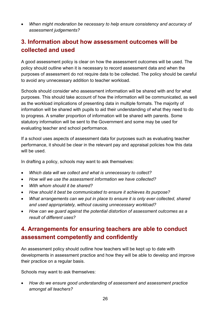• *When might moderation be necessary to help ensure consistency and accuracy of assessment judgements?*

# **3. Information about how assessment outcomes will be collected and used**

A good assessment policy is clear on how the assessment outcomes will be used. The policy should outline when it is necessary to record assessment data and when the purposes of assessment do not require data to be collected. The policy should be careful to avoid any unnecessary addition to teacher workload.

Schools should consider who assessment information will be shared with and for what purposes. This should take account of how the information will be communicated, as well as the workload implications of presenting data in multiple formats. The majority of information will be shared with pupils to aid their understanding of what they need to do to progress. A smaller proportion of information will be shared with parents. Some statutory information will be sent to the Government and some may be used for evaluating teacher and school performance.

If a school uses aspects of assessment data for purposes such as evaluating teacher performance, it should be clear in the relevant pay and appraisal policies how this data will be used.

In drafting a policy, schools may want to ask themselves:

- *Which data will we collect and what is unnecessary to collect?*
- *How will we use the assessment information we have collected?*
- *With whom should it be shared?*
- *How should it best be communicated to ensure it achieves its purpose?*
- *What arrangements can we put in place to ensure it is only ever collected, shared and used appropriately, without causing unnecessary workload?*
- *How can we guard against the potential distortion of assessment outcomes as a result of different uses?*

# **4. Arrangements for ensuring teachers are able to conduct assessment competently and confidently**

An assessment policy should outline how teachers will be kept up to date with developments in assessment practice and how they will be able to develop and improve their practice on a regular basis.

Schools may want to ask themselves:

• *How do we ensure good understanding of assessment and assessment practice amongst all teachers?*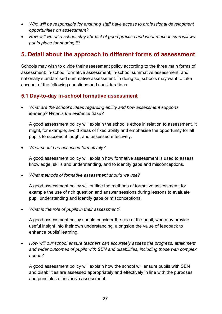- *Who will be responsible for ensuring staff have access to professional development opportunities on assessment?*
- *How will we as a school stay abreast of good practice and what mechanisms will we put in place for sharing it?*

# **5. Detail about the approach to different forms of assessment**

Schools may wish to divide their assessment policy according to the three main forms of assessment: in-school formative assessment; in-school summative assessment; and nationally standardised summative assessment. In doing so, schools may want to take account of the following questions and considerations:

### **5.1 Day-to-day in-school formative assessment**

• *What are the school's ideas regarding ability and how assessment supports learning? What is the evidence base?* 

A good assessment policy will explain the school's ethos in relation to assessment. It might, for example, avoid ideas of fixed ability and emphasise the opportunity for all pupils to succeed if taught and assessed effectively.

• *What should be assessed formatively?*

A good assessment policy will explain how formative assessment is used to assess knowledge, skills and understanding, and to identify gaps and misconceptions.

• *What methods of formative assessment should we use?*

A good assessment policy will outline the methods of formative assessment; for example the use of rich question and answer sessions during lessons to evaluate pupil understanding and identify gaps or misconceptions.

• *What is the role of pupils in their assessment?*

A good assessment policy should consider the role of the pupil, who may provide useful insight into their own understanding, alongside the value of feedback to enhance pupils' learning.

• *How will our school ensure teachers can accurately assess the progress, attainment and wider outcomes of pupils with SEN and disabilities, including those with complex needs?*

A good assessment policy will explain how the school will ensure pupils with SEN and disabilities are assessed appropriately and effectively in line with the purposes and principles of inclusive assessment.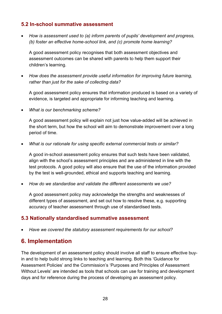### **5.2 In-school summative assessment**

• *How is assessment used to (a) inform parents of pupils' development and progress, (b) foster an effective home-school link, and (c) promote home learning?*

A good assessment policy recognises that both assessment objectives and assessment outcomes can be shared with parents to help them support their children's learning.

• *How does the assessment provide useful information for improving future learning, rather than just for the sake of collecting data?*

A good assessment policy ensures that information produced is based on a variety of evidence, is targeted and appropriate for informing teaching and learning.

• *What is our benchmarking scheme?*

A good assessment policy will explain not just how value-added will be achieved in the short term, but how the school will aim to demonstrate improvement over a long period of time.

• *What is our rationale for using specific external commercial tests or similar?*

A good in-school assessment policy ensures that such tests have been validated, align with the school's assessment principles and are administered in line with the test protocols. A good policy will also ensure that the use of the information provided by the test is well-grounded, ethical and supports teaching and learning.

• *How do we standardise and validate the different assessments we use?*

A good assessment policy may acknowledge the strengths and weaknesses of different types of assessment, and set out how to resolve these, e.g. supporting accuracy of teacher assessment through use of standardised tests.

### **5.3 Nationally standardised summative assessment**

• *Have we covered the statutory assessment requirements for our school?*

### **6. Implementation**

The development of an assessment policy should involve all staff to ensure effective buyin and to help build strong links to teaching and learning. Both this 'Guidance for Assessment Policies' and the Commission's 'Purposes and Principles of Assessment Without Levels' are intended as tools that schools can use for training and development days and for reference during the process of developing an assessment policy.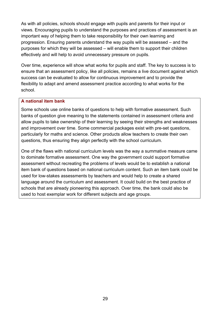As with all policies, schools should engage with pupils and parents for their input or views. Encouraging pupils to understand the purposes and practices of assessment is an important way of helping them to take responsibility for their own learning and progression. Ensuring parents understand the way pupils will be assessed – and the purposes for which they will be assessed – will enable them to support their children effectively and will help to avoid unnecessary pressure on pupils.

Over time, experience will show what works for pupils and staff. The key to success is to ensure that an assessment policy, like all policies, remains a live document against which success can be evaluated to allow for continuous improvement and to provide the flexibility to adapt and amend assessment practice according to what works for the school.

#### **A national item bank**

Some schools use online banks of questions to help with formative assessment. Such banks of question give meaning to the statements contained in assessment criteria and allow pupils to take ownership of their learning by seeing their strengths and weaknesses and improvement over time. Some commercial packages exist with pre-set questions, particularly for maths and science. Other products allow teachers to create their own questions, thus ensuring they align perfectly with the school curriculum.

One of the flaws with national curriculum levels was the way a summative measure came to dominate formative assessment. One way the government could support formative assessment without recreating the problems of levels would be to establish a national item bank of questions based on national curriculum content. Such an item bank could be used for low-stakes assessments by teachers and would help to create a shared language around the curriculum and assessment. It could build on the best practice of schools that are already pioneering this approach. Over time, the bank could also be used to host exemplar work for different subjects and age groups.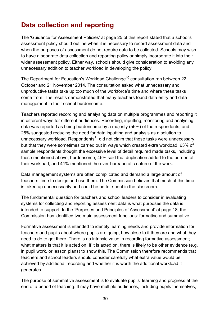# <span id="page-29-0"></span>**Data collection and reporting**

The 'Guidance for Assessment Policies' at page 25 of this report stated that a school's assessment policy should outline when it is necessary to record assessment data and when the purposes of assessment do not require data to be collected. Schools may wish to have a separate data collection and reporting policy or simply incorporate it into their wider assessment policy. Either way, schools should give consideration to avoiding any unnecessary addition to teacher workload in developing the policy.

The Department for Education's Workload Challenge<sup>10</sup> consultation ran between 22 October and 21 November 2014. The consultation asked what unnecessary and unproductive tasks take up too much of the workforce's time and where these tasks come from. The results demonstrated that many teachers found data entry and data management in their school burdensome.

Teachers reported recording and analysing data on multiple programmes and reporting it in different ways for different audiences. Recording, inputting, monitoring and analysing data was reported as being burdensome by a majority (56%) of the respondents, and 25% suggested reducing the need for data inputting and analysis as a solution to unnecessary workload. Respondents<sup>11</sup> did not claim that these tasks were unnecessary, but that they were sometimes carried out in ways which created extra workload. 63% of sample respondents thought the excessive level of detail required made tasks, including those mentioned above, burdensome, 45% said that duplication added to the burden of their workload, and 41% mentioned the over-bureaucratic nature of the work.

Data management systems are often complicated and demand a large amount of teachers' time to design and use them. The Commission believes that much of this time is taken up unnecessarily and could be better spent in the classroom.

The fundamental question for teachers and school leaders to consider in evaluating systems for collecting and reporting assessment data is what purposes the data is intended to support. In the 'Purposes and Principles of Assessment' at page 18, the Commission has identified two main assessment functions: formative and summative.

Formative assessment is intended to identify learning needs and provide information for teachers and pupils about where pupils are going, how close to it they are and what they need to do to get there. There is no intrinsic value in recording formative assessment; what matters is that it is acted on. If it is acted on, there is likely to be other evidence (e.g. in pupil work, or lesson plans) to show this. The Commission therefore recommends that teachers and school leaders should consider carefully what extra value would be achieved by additional recording and whether it is worth the additional workload it generates.

The purpose of summative assessment is to evaluate pupils' learning and progress at the end of a period of teaching. It may have multiple audiences, including pupils themselves,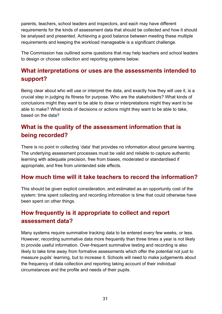parents, teachers, school leaders and inspectors, and each may have different requirements for the kinds of assessment data that should be collected and how it should be analysed and presented. Achieving a good balance between meeting these multiple requirements and keeping the workload manageable is a significant challenge.

The Commission has outlined some questions that may help teachers and school leaders to design or choose collection and reporting systems below:

# **What interpretations or uses are the assessments intended to support?**

Being clear about who will use or interpret the data, and exactly how they will use it, is a crucial step in judging its fitness for purpose. Who are the stakeholders? What kinds of conclusions might they want to be able to draw or interpretations might they want to be able to make? What kinds of decisions or actions might they want to be able to take, based on the data?

# **What is the quality of the assessment information that is being recorded?**

There is no point in collecting 'data' that provides no information about genuine learning. The underlying assessment processes must be valid and reliable to capture authentic learning with adequate precision, free from biases, moderated or standardised if appropriate, and free from unintended side effects.

### **How much time will it take teachers to record the information?**

This should be given explicit consideration, and estimated as an opportunity cost of the system: time spent collecting and recording information is time that could otherwise have been spent on other things.

# **How frequently is it appropriate to collect and report assessment data?**

Many systems require summative tracking data to be entered every few weeks, or less. However, recording summative data more frequently than three times a year is not likely to provide useful information. Over-frequent summative testing and recording is also likely to take time away from formative assessments which offer the potential not just to measure pupils' learning, but to increase it. Schools will need to make judgements about the frequency of data collection and reporting taking account of their individual circumstances and the profile and needs of their pupils.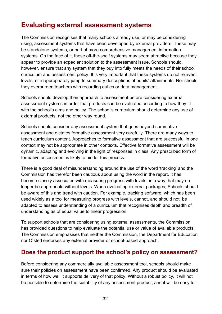# <span id="page-31-0"></span>**Evaluating external assessment systems**

The Commission recognises that many schools already use, or may be considering using, assessment systems that have been developed by external providers. These may be standalone systems, or part of more comprehensive management information systems. On the face of it, these off-the-shelf systems may seem attractive because they appear to provide an expedient solution to the assessment issue. Schools should, however, ensure that any system that they buy into fully meets the needs of their school curriculum and assessment policy. It is very important that these systems do not reinvent levels, or inappropriately jump to summary descriptions of pupils' attainments. Nor should they overburden teachers with recording duties or data management.

Schools should develop their approach to assessment before considering external assessment systems in order that products can be evaluated according to how they fit with the school's aims and policy. The school's curriculum should determine any use of external products, not the other way round.

Schools should consider any assessment system that goes beyond summative assessment and dictates formative assessment very carefully. There are many ways to teach curriculum content. Approaches to formative assessment that are successful in one context may not be appropriate in other contexts. Effective formative assessment will be dynamic, adapting and evolving in the light of responses in class. Any prescribed form of formative assessment is likely to hinder this process.

There is a good deal of misunderstanding around the use of the word 'tracking' and the Commission has therefor been cautious about using the word in the report. It has become closely associated with measuring progress with levels, in a way that may no longer be appropriate without levels. When evaluating external packages, Schools should be aware of this and tread with caution. For example, tracking software, which has been used widely as a tool for measuring progress with levels, cannot, and should not, be adapted to assess understanding of a curriculum that recognises depth and breadth of understanding as of equal value to linear progression.

To support schools that are considering using external assessments, the Commission has provided questions to help evaluate the potential use or value of available products. The Commission emphasises that neither the Commission, the Department for Education nor Ofsted endorses any external provider or school-based approach.

### **Does the product support the school's policy on assessment?**

Before considering any commercially available assessment tool, schools should make sure their policies on assessment have been confirmed. Any product should be evaluated in terms of how well it supports delivery of that policy. Without a robust policy, it will not be possible to determine the suitability of any assessment product, and it will be easy to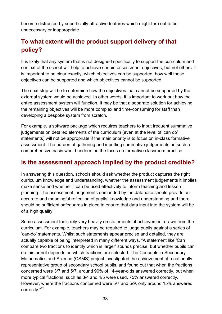become distracted by superficially attractive features which might turn out to be unnecessary or inappropriate.

# **To what extent will the product support delivery of that policy?**

It is likely that any system that is not designed specifically to support the curriculum and context of the school will help to achieve certain assessment objectives, but not others. It is important to be clear exactly, which objectives can be supported, how well those objectives can be supported and which objectives cannot be supported.

The next step will be to determine how the objectives that cannot be supported by the external system would be achieved. In other words, it is important to work out how the entire assessment system will function. It may be that a separate solution for achieving the remaining objectives will be more complex and time-consuming for staff than developing a bespoke system from scratch.

For example, a software package which requires teachers to input frequent summative judgements on detailed elements of the curriculum (even at the level of 'can do' statements) will not be appropriate if the main priority is to focus on in-class formative assessment. The burden of gathering and inputting summative judgements on such a comprehensive basis would undermine the focus on formative classroom practice.

### **Is the assessment approach implied by the product credible?**

In answering this question, schools should ask whether the product captures the right curriculum knowledge and understanding, whether the assessment judgements it implies make sense and whether it can be used effectively to inform teaching and lesson planning. The assessment judgements demanded by the database should provide an accurate and meaningful reflection of pupils' knowledge and understanding and there should be sufficient safeguards in place to ensure that data input into the system will be of a high quality.

Some assessment tools rely very heavily on statements of achievement drawn from the curriculum. For example, teachers may be required to judge pupils against a series of 'can-do' statements. Whilst such statements appear precise and detailed, they are actually capable of being interpreted in many different ways. "A statement like 'Can compare two fractions to identify which is larger' sounds precise, but whether pupils can do this or not depends on which fractions are selected. The Concepts in Secondary Mathematics and Science (CSMS) project investigated the achievement of a nationally representative group of secondary school pupils, and found out that when the fractions concerned were 3/7 and 5/7, around 90% of 14-year-olds answered correctly, but when more typical fractions, such as 3/4 and 4/5 were used, 75% answered correctly. However, where the fractions concerned were 5/7 and 5/9, only around 15% answered correctly."<sup>12</sup>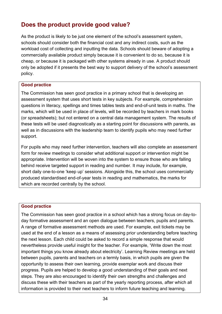# **Does the product provide good value?**

As the product is likely to be just one element of the school's assessment system, schools should consider both the financial cost and any indirect costs, such as the workload cost of collecting and inputting the data. Schools should beware of adopting a commercially available product simply because it is convenient to do so, because it is cheap, or because it is packaged with other systems already in use. A product should only be adopted if it presents the best way to support delivery of the school's assessment policy.

#### **Good practice**

The Commission has seen good practice in a primary school that is developing an assessment system that uses short tests in key subjects. For example, comprehension questions in literacy, spellings and times tables tests and end-of-unit tests in maths. The marks, which will be used in place of levels, will be recorded by teachers in mark books (or spreadsheets); but not entered on a central data management system. The results of these tests will be used diagnostically as a starting point for discussions with parents, as well as in discussions with the leadership team to identify pupils who may need further support.

For pupils who may need further intervention, teachers will also complete an assessment form for review meetings to consider what additional support or intervention might be appropriate. Intervention will be woven into the system to ensure those who are falling behind receive targeted support in reading and number. It may include, for example, short daily one-to-one 'keep up' sessions. Alongside this, the school uses commercially produced standardised end-of-year tests in reading and mathematics, the marks for which are recorded centrally by the school.

#### **Good practice**

The Commission has seen good practice in a school which has a strong focus on day-today formative assessment and an open dialogue between teachers, pupils and parents. A range of formative assessment methods are used. For example, exit tickets may be used at the end of a lesson as a means of assessing prior understanding before teaching the next lesson. Each child could be asked to record a simple response that would nevertheless provide useful insight for the teacher. For example, 'Write down the most important things you know already about electricity'. Learning Review meetings are held between pupils, parents and teachers on a termly basis, in which pupils are given the opportunity to assess their own learning, provide exemplar work and discuss their progress. Pupils are helped to develop a good understanding of their goals and next steps. They are also encouraged to identify their own strengths and challenges and discuss these with their teachers as part of the yearly reporting process, after which all information is provided to their next teachers to inform future teaching and learning.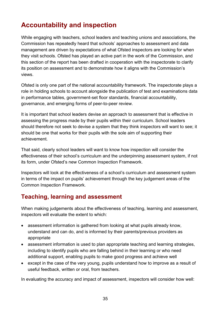# <span id="page-34-0"></span>**Accountability and inspection**

While engaging with teachers, school leaders and teaching unions and associations, the Commission has repeatedly heard that schools' approaches to assessment and data management are driven by expectations of what Ofsted inspectors are looking for when they visit schools. Ofsted has played an active part in the work of the Commission, and this section of the report has been drafted in cooperation with the inspectorate to clarify its position on assessment and to demonstrate how it aligns with the Commission's views.

Ofsted is only one part of the national accountability framework. The inspectorate plays a role in holding schools to account alongside the publication of test and examinations data in performance tables, government-set floor standards, financial accountability, governance, and emerging forms of peer-to-peer review.

It is important that school leaders devise an approach to assessment that is effective in assessing the progress made by their pupils within their curriculum. School leaders should therefore not seek to devise a system that they think inspectors will want to see; it should be one that works for their pupils with the sole aim of supporting their achievement.

That said, clearly school leaders will want to know how inspection will consider the effectiveness of their school's curriculum and the underpinning assessment system, if not its form, under Ofsted's new Common Inspection Framework.

Inspectors will look at the effectiveness of a school's curriculum and assessment system in terms of the impact on pupils' achievement through the key judgement areas of the Common Inspection Framework.

# **Teaching, learning and assessment**

When making judgements about the effectiveness of teaching, learning and assessment, inspectors will evaluate the extent to which:

- assessment information is gathered from looking at what pupils already know, understand and can do, and is informed by their parents/previous providers as appropriate
- assessment information is used to plan appropriate teaching and learning strategies, including to identify pupils who are falling behind in their learning or who need additional support, enabling pupils to make good progress and achieve well
- except in the case of the very young, pupils understand how to improve as a result of useful feedback, written or oral, from teachers.

In evaluating the accuracy and impact of assessment, inspectors will consider how well: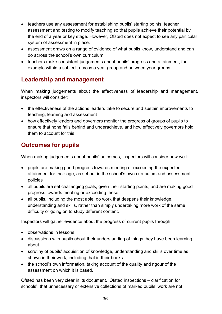- teachers use any assessment for establishing pupils' starting points, teacher assessment and testing to modify teaching so that pupils achieve their potential by the end of a year or key stage. However, Ofsted does not expect to see any particular system of assessment in place.
- assessment draws on a range of evidence of what pupils know, understand and can do across the school's own curriculum
- teachers make consistent judgements about pupils' progress and attainment, for example within a subject, across a year group and between year groups.

### **Leadership and management**

When making judgements about the effectiveness of leadership and management, inspectors will consider:

- the effectiveness of the actions leaders take to secure and sustain improvements to teaching, learning and assessment
- how effectively leaders and governors monitor the progress of groups of pupils to ensure that none falls behind and underachieve, and how effectively governors hold them to account for this.

# **Outcomes for pupils**

When making judgements about pupils' outcomes, inspectors will consider how well:

- pupils are making good progress towards meeting or exceeding the expected attainment for their age, as set out in the school's own curriculum and assessment policies
- all pupils are set challenging goals, given their starting points, and are making good progress towards meeting or exceeding these
- all pupils, including the most able, do work that deepens their knowledge, understanding and skills, rather than simply undertaking more work of the same difficulty or going on to study different content.

Inspectors will gather evidence about the progress of current pupils through:

- observations in lessons
- discussions with pupils about their understanding of things they have been learning about
- scrutiny of pupils' acquisition of knowledge, understanding and skills over time as shown in their work, including that in their books
- the school's own information, taking account of the quality and rigour of the assessment on which it is based.

Ofsted has been very clear in its document, 'Ofsted inspections – clarification for schools', that unnecessary or extensive collections of marked pupils' work are not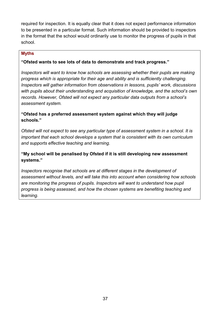required for inspection. It is equally clear that it does not expect performance information to be presented in a particular format. Such information should be provided to inspectors in the format that the school would ordinarily use to monitor the progress of pupils in that school.

#### **Myths**

#### **"Ofsted wants to see lots of data to demonstrate and track progress."**

*Inspectors will want to know how schools are assessing whether their pupils are making progress which is appropriate for their age and ability and is sufficiently challenging. Inspectors will gather information from observations in lessons, pupils' work, discussions with pupils about their understanding and acquisition of knowledge, and the school's own records. However, Ofsted will not expect any particular data outputs from a school's assessment system.* 

#### **"Ofsted has a preferred assessment system against which they will judge schools."**

*Ofsted will not expect to see any particular type of assessment system in a school. It is important that each school develops a system that is consistent with its own curriculum and supports effective teaching and learning.*

### **"My school will be penalised by Ofsted if it is still developing new assessment systems."**

*Inspectors recognise that schools are at different stages in the development of assessment without levels, and will take this into account when considering how schools are monitoring the progress of pupils. Inspectors will want to understand how pupil progress is being assessed, and how the chosen systems are benefiting teaching and learning.*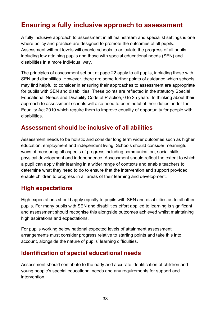# <span id="page-37-0"></span>**Ensuring a fully inclusive approach to assessment**

A fully inclusive approach to assessment in all mainstream and specialist settings is one where policy and practice are designed to promote the outcomes of all pupils. Assessment without levels will enable schools to articulate the progress of all pupils, including low attaining pupils and those with special educational needs (SEN) and disabilities in a more individual way.

The principles of assessment set out at page 22 apply to all pupils, including those with SEN and disabilities. However, there are some further points of guidance which schools may find helpful to consider in ensuring their approaches to assessment are appropriate for pupils with SEN and disabilities. These points are reflected in the statutory Special Educational Needs and Disability Code of Practice, 0 to 25 years. In thinking about their approach to assessment schools will also need to be mindful of their duties under the Equality Act 2010 which require them to improve equality of opportunity for people with disabilities.

### **Assessment should be inclusive of all abilities**

Assessment needs to be holistic and consider long term wider outcomes such as higher education, employment and independent living. Schools should consider meaningful ways of measuring all aspects of progress including communication, social skills, physical development and independence. Assessment should reflect the extent to which a pupil can apply their learning in a wider range of contexts and enable teachers to determine what they need to do to ensure that the intervention and support provided enable children to progress in all areas of their learning and development.

# **High expectations**

High expectations should apply equally to pupils with SEN and disabilities as to all other pupils. For many pupils with SEN and disabilities effort applied to learning is significant and assessment should recognise this alongside outcomes achieved whilst maintaining high aspirations and expectations.

For pupils working below national expected levels of attainment assessment arrangements must consider progress relative to starting points and take this into account, alongside the nature of pupils' learning difficulties.

# **Identification of special educational needs**

Assessment should contribute to the early and accurate identification of children and young people's special educational needs and any requirements for support and intervention.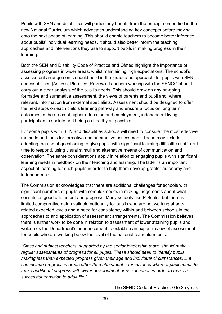Pupils with SEN and disabilities will particularly benefit from the principle embodied in the new National Curriculum which advocates understanding key concepts before moving onto the next phase of learning. This should enable teachers to become better informed about pupils' individual learning needs. It should also better inform the teaching approaches and interventions they use to support pupils in making progress in their learning.

Both the SEN and Disability Code of Practice and Ofsted highlight the importance of assessing progress in wider areas, whilst maintaining high expectations. The school's assessment arrangements should build in the 'graduated approach' for pupils with SEN and disabilities (Assess, Plan, Do, Review). Teachers working with the SENCO should carry out a clear analysis of the pupil's needs. This should draw on any on-going formative and summative assessment, the views of parents and pupil and, where relevant, information from external specialists. Assessment should be designed to offer the next steps on each child's learning pathway and ensure a focus on long term outcomes in the areas of higher education and employment, independent living, participation in society and being as healthy as possible.

For some pupils with SEN and disabilities schools will need to consider the most effective methods and tools for formative and summative assessment. These may include adapting the use of questioning to give pupils with significant learning difficulties sufficient time to respond, using visual stimuli and alternative means of communication and observation. The same considerations apply in relation to engaging pupils with significant learning needs in feedback on their teaching and learning. The latter is an important aspect of learning for such pupils in order to help them develop greater autonomy and independence.

The Commission acknowledges that there are additional challenges for schools with significant numbers of pupils with complex needs in making judgements about what constitutes good attainment and progress. Many schools use P-Scales but there is limited comparative data available nationally for pupils who are not working at agerelated expected levels and a need for consistency within and between schools in the approaches to and application of assessment arrangements. The Commission believes there is further work to be done in relation to assessment of lower attaining pupils and welcomes the Department's announcement to establish an expert review of assessment for pupils who are working below the level of the national curriculum tests.

*"Class and subject teachers, supported by the senior leadership team, should make regular assessments of progress for all pupils. These should seek to identify pupils making less than expected progress given their age and individual circumstances…. It can include progress in areas other than attainment – for instance where a pupil needs to make additional progress with wider development or social needs in order to make a successful transition to adult life."* 

The SEND Code of Practice: 0 to 25 years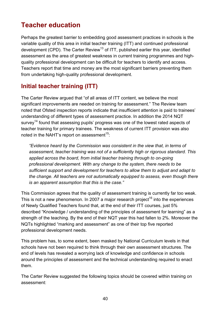# <span id="page-39-0"></span>**Teacher education**

Perhaps the greatest barrier to embedding good assessment practices in schools is the variable quality of this area in initial teacher training (ITT) and continued professional development (CPD). The Carter  $Review<sup>13</sup>$  of ITT, published earlier this year, identified assessment as the area of greatest weakness in current training programmes and highquality professional development can be difficult for teachers to identify and access. Teachers report that time and money are the most significant barriers preventing them from undertaking high-quality professional development.

# **Initial teacher training (ITT)**

The Carter Review argued that "of all areas of ITT content, we believe the most significant improvements are needed on training for assessment." The Review team noted that Ofsted inspection reports indicate that insufficient attention is paid to trainees' understanding of different types of assessment practice. In addition the 2014 NQT survey<sup>14</sup> found that assessing pupils' progress was one of the lowest rated aspects of teacher training for primary trainees. The weakness of current ITT provision was also noted in the NAHT's report on assessment<sup>15</sup>:

*"Evidence heard by the Commission was consistent in the view that, in terms of assessment, teacher training was not of a sufficiently high or rigorous standard. This applied across the board, from initial teacher training through to on-going professional development. With any change to the system, there needs to be sufficient support and development for teachers to allow them to adjust and adapt to the change. All teachers are not automatically equipped to assess, even though there is an apparent assumption that this is the case."*

This Commission agrees that the quality of assessment training is currently far too weak. This is not a new phenomenon. In 2007 a major research project<sup>16</sup> into the experiences of Newly Qualified Teachers found that, at the end of their ITT courses, just 5% described "Knowledge / understanding of the principles of assessment for learning" as a strength of the teaching. By the end of their NQT year this had fallen to 2%. Moreover the NQTs highlighted "marking and assessment" as one of their top five reported professional development needs.

This problem has, to some extent, been masked by National Curriculum levels in that schools have not been required to think through their own assessment structures. The end of levels has revealed a worrying lack of knowledge and confidence in schools around the principles of assessment and the technical understanding required to enact them.

The Carter Review suggested the following topics should be covered within training on assessment: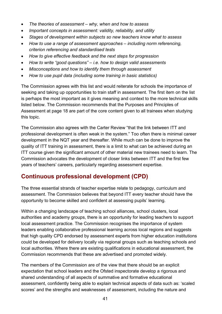- *The theories of assessment – why, when and how to assess*
- *Important concepts in assessment: validity, reliability, and utility*
- *Stages of development within subjects so new teachers know what to assess*
- *How to use a range of assessment approaches – including norm referencing, criterion referencing and standardised tests*
- *How to give effective feedback and the next steps for progression*
- *How to write "good questions" – i.e. how to design valid assessments*
- *Misconceptions and how to identify them through assessment*
- *How to use pupil data (including some training in basic statistics)*

The Commission agrees with this list and would reiterate for schools the importance of seeking and taking up opportunities to train staff in assessment. The first item on the list is perhaps the most important as it gives meaning and context to the more technical skills listed below. The Commission recommends that the Purposes and Principles of Assessment at page 18 are part of the core content given to all trainees when studying this topic.

The Commission also agrees with the Carter Review "that the link between ITT and professional development is often weak in the system." Too often there is minimal career development in the NQT year and thereafter. While much can be done to improve the quality of ITT training in assessment, there is a limit to what can be achieved during an ITT course given the significant amount of other material new trainees need to learn. The Commission advocates the development of closer links between ITT and the first few years of teachers' careers, particularly regarding assessment expertise.

### **Continuous professional development (CPD)**

The three essential strands of teacher expertise relate to pedagogy, curriculum and assessment. The Commission believes that beyond ITT every teacher should have the opportunity to become skilled and confident at assessing pupils' learning.

Within a changing landscape of teaching school alliances, school clusters, local authorities and academy groups, there is an opportunity for leading teachers to support local assessment practice. The Commission recognises the importance of system leaders enabling collaborative professional learning across local regions and suggests that high quality CPD endorsed by assessment experts from higher education institutions could be developed for delivery locally via regional groups such as teaching schools and local authorities. Where there are existing qualifications in educational assessment, the Commission recommends that these are advertised and promoted widely.

The members of the Commission are of the view that there should be an explicit expectation that school leaders and the Ofsted inspectorate develop a rigorous and shared understanding of all aspects of summative and formative educational assessment, confidently being able to explain technical aspects of data such as: 'scaled scores' and the strengths and weaknesses of assessment, including the nature and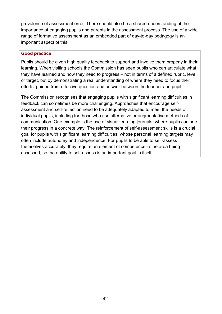prevalence of assessment error. There should also be a shared understanding of the importance of engaging pupils and parents in the assessment process. The use of a wide range of formative assessment as an embedded part of day-to-day pedagogy is an important aspect of this.

#### **Good practice**

Pupils should be given high quality feedback to support and involve them properly in their learning. When visiting schools the Commission has seen pupils who can articulate what they have learned and how they need to progress – not in terms of a defined rubric, level or target, but by demonstrating a real understanding of where they need to focus their efforts, gained from effective question and answer between the teacher and pupil.

The Commission recognises that engaging pupils with significant learning difficulties in feedback can sometimes be more challenging. Approaches that encourage selfassessment and self-reflection need to be adequately adapted to meet the needs of individual pupils, including for those who use alternative or augmentative methods of communication. One example is the use of visual learning journals, where pupils can see their progress in a concrete way. The reinforcement of self-assessment skills is a crucial goal for pupils with significant learning difficulties, whose personal learning targets may often include autonomy and independence. For pupils to be able to self-assess themselves accurately, they require an element of competence in the area being assessed, so the ability to self-assess is an important goal in itself.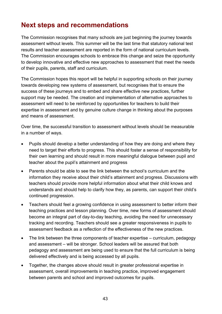# <span id="page-42-0"></span>**Next steps and recommendations**

The Commission recognises that many schools are just beginning the journey towards assessment without levels. This summer will be the last time that statutory national test results and teacher assessment are reported in the form of national curriculum levels. The Commission encourages schools to embrace this change and seize the opportunity to develop innovative and effective new approaches to assessment that meet the needs of their pupils, parents, staff and curriculum.

The Commission hopes this report will be helpful in supporting schools on their journey towards developing new systems of assessment, but recognises that to ensure the success of these journeys and to embed and share effective new practices, further support may be needed. The creation and implementation of alternative approaches to assessment will need to be reinforced by opportunities for teachers to build their expertise in assessment and by genuine culture change in thinking about the purposes and means of assessment.

Over time, the successful transition to assessment without levels should be measurable in a number of ways.

- Pupils should develop a better understanding of how they are doing and where they need to target their efforts to progress. This should foster a sense of responsibility for their own learning and should result in more meaningful dialogue between pupil and teacher about the pupil's attainment and progress
- Parents should be able to see the link between the school's curriculum and the information they receive about their child's attainment and progress. Discussions with teachers should provide more helpful information about what their child knows and understands and should help to clarify how they, as parents, can support their child's continued progression.
- Teachers should feel a growing confidence in using assessment to better inform their teaching practices and lesson planning. Over time, new forms of assessment should become an integral part of day-to-day teaching, avoiding the need for unnecessary tracking and recording. Teachers should see a greater responsiveness in pupils to assessment feedback as a reflection of the effectiveness of the new practices.
- The link between the three components of teacher expertise curriculum, pedagogy and assessment – will be stronger. School leaders will be assured that both pedagogy and assessment are being used to ensure that the full curriculum is being delivered effectively and is being accessed by all pupils.
- Together, the changes above should result in greater professional expertise in assessment, overall improvements in teaching practice, improved engagement between parents and school and improved outcomes for pupils.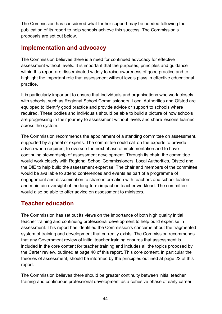The Commission has considered what further support may be needed following the publication of its report to help schools achieve this success. The Commission's proposals are set out below.

### **Implementation and advocacy**

The Commission believes there is a need for continued advocacy for effective assessment without levels. It is important that the purposes, principles and guidance within this report are disseminated widely to raise awareness of good practice and to highlight the important role that assessment without levels plays in effective educational practice.

It is particularly important to ensure that individuals and organisations who work closely with schools, such as Regional School Commissioners, Local Authorities and Ofsted are equipped to identify good practice and provide advice or support to schools where required. These bodies and individuals should be able to build a picture of how schools are progressing in their journey to assessment without levels and share lessons learned across the system.

The Commission recommends the appointment of a standing committee on assessment, supported by a panel of experts. The committee could call on the experts to provide advice when required, to oversee the next phase of implementation and to have continuing stewardship of assessment development. Through its chair, the committee would work closely with Regional School Commissioners, Local Authorities, Ofsted and the DfE to help build the assessment expertise. The chair and members of the committee would be available to attend conferences and events as part of a programme of engagement and dissemination to share information with teachers and school leaders and maintain oversight of the long-term impact on teacher workload. The committee would also be able to offer advice on assessment to ministers.

# **Teacher education**

The Commission has set out its views on the importance of both high quality initial teacher training and continuing professional development to help build expertise in assessment. This report has identified the Commission's concerns about the fragmented system of training and development that currently exists. The Commission recommends that any Government review of initial teacher training ensures that assessment is included in the core content for teacher training and includes all the topics proposed by the Carter review, outlined at page 40 of this report. This core content, in particular the theories of assessment, should be informed by the principles outlined at page 22 of this report.

The Commission believes there should be greater continuity between initial teacher training and continuous professional development as a cohesive phase of early career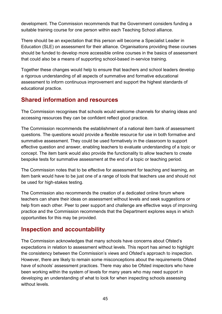development. The Commission recommends that the Government considers funding a suitable training course for one person within each Teaching School alliance.

There should be an expectation that this person will become a Specialist Leader in Education (SLE) on assessment for their alliance. Organisations providing these courses should be funded to develop more accessible online courses in the basics of assessment that could also be a means of supporting school-based in-service training.

Together these changes would help to ensure that teachers and school leaders develop a rigorous understanding of all aspects of summative and formative educational assessment to inform continuous improvement and support the highest standards of educational practice.

### **Shared information and resources**

The Commission recognises that schools would welcome channels for sharing ideas and accessing resources they can be confident reflect good practice.

The Commission recommends the establishment of a national item bank of assessment questions. The questions would provide a flexible resource for use in both formative and summative assessment. They could be used formatively in the classroom to support effective question and answer, enabling teachers to evaluate understanding of a topic or concept. The item bank would also provide the functionality to allow teachers to create bespoke tests for summative assessment at the end of a topic or teaching period.

The Commission notes that to be effective for assessment for teaching and learning, an item bank would have to be just one of a range of tools that teachers use and should not be used for high-stakes testing.

The Commission also recommends the creation of a dedicated online forum where teachers can share their ideas on assessment without levels and seek suggestions or help from each other. Peer to peer support and challenge are effective ways of improving practice and the Commission recommends that the Department explores ways in which opportunities for this may be provided.

# **Inspection and accountability**

The Commission acknowledges that many schools have concerns about Ofsted's expectations in relation to assessment without levels. This report has aimed to highlight the consistency between the Commission's views and Ofsted's approach to inspection. However, there are likely to remain some misconceptions about the requirements Ofsted have of schools' assessment practices. There may also be Ofsted inspectors who have been working within the system of levels for many years who may need support in developing an understanding of what to look for when inspecting schools assessing without levels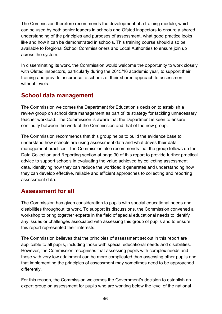The Commission therefore recommends the development of a training module, which can be used by both senior leaders in schools and Ofsted inspectors to ensure a shared understanding of the principles and purposes of assessment, what good practice looks like and how it can be demonstrated in schools. This training course should also be available to Regional School Commissioners and Local Authorities to ensure join up across the system.

In disseminating its work, the Commission would welcome the opportunity to work closely with Ofsted inspectors, particularly during the 2015/16 academic year, to support their training and provide assurance to schools of their shared approach to assessment without levels.

### **School data management**

The Commission welcomes the Department for Education's decision to establish a review group on school data management as part of its strategy for tackling unnecessary teacher workload. The Commission is aware that the Department is keen to ensure continuity between the work of the Commission and that of the new group.

The Commission recommends that this group helps to build the evidence base to understand how schools are using assessment data and what drives their data management practices. The Commission also recommends that the group follows up the Data Collection and Reporting section at page 30 of this report to provide further practical advice to support schools in evaluating the value achieved by collecting assessment data, identifying how they can reduce the workload it generates and understanding how they can develop effective, reliable and efficient approaches to collecting and reporting assessment data.

### **Assessment for all**

The Commission has given consideration to pupils with special educational needs and disabilities throughout its work. To support its discussions, the Commission convened a workshop to bring together experts in the field of special educational needs to identify any issues or challenges associated with assessing this group of pupils and to ensure this report represented their interests.

The Commission believes that the principles of assessment set out in this report are applicable to all pupils, including those with special educational needs and disabilities. However, the Commission recognises that assessing pupils with complex needs and those with very low attainment can be more complicated than assessing other pupils and that implementing the principles of assessment may sometimes need to be approached differently.

For this reason, the Commission welcomes the Government's decision to establish an expert group on assessment for pupils who are working below the level of the national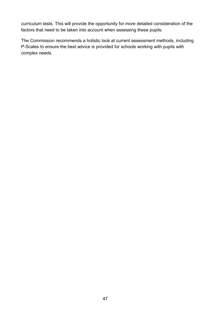curriculum tests. This will provide the opportunity for more detailed consideration of the factors that need to be taken into account when assessing these pupils.

The Commission recommends a holistic look at current assessment methods, including P-Scales to ensure the best advice is provided for schools working with pupils with complex needs.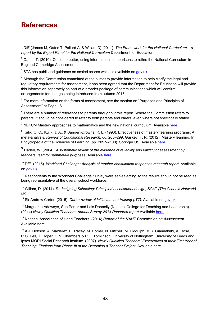# **References**

 $\overline{a}$ 

<span id="page-47-0"></span><sup>1</sup> DfE (James M, Oates T, Pollard A, & Wiliam D).(2011). *The Framework for the National Curriculum – a report by the Expert Panel for the National Curriculum* Department for Education.

 $2$  Oates, T. (2010). Could do better, using international comparisons to refine the National Curriculum in England Cambridge Assessment

 $3$  STA has published guidance on scaled scores which is available on [gov.uk.](https://www.gov.uk/scaled-scores)

<sup>4</sup> Although the Commission committed at the outset to provide information to help clarify the legal and regulatory requirements for assessment, it has been agreed that the Department for Education will provide this information separately as part of a broader package of communications which will confirm arrangements for changes being introduced from autumn 2015.

<sup>5</sup> For more information on the forms of assessment, see the section on "Purposes and Principles of Assessment" at Page 18.

 $6$  There are a number of references to parents throughout this report. Where the Commission refers to parents, it should be considered to refer to both parents and carers, even where not specifically stated.

 $7$  NETCM Mastery approaches to mathematics and the new national curriculum. Available [here.](https://www.ncetm.org.uk/public/files/19990433/Developing_mastery_in_mathematics_october_2014.pdf)

<sup>8</sup> Kulik, C. C., Kulik, J. A., & Bangert-Drowns, R. L. (1990). Effectiveness of mastery learning programs: A meta-analysis. *Review of Educational Research*, *60*, 265–299. Guskey, T. R. (2012). Mastery learning. In Encyclopedia of the Sciences of Learning (pp. 2097-2100). Springer US. Available [here.](http://link.springer.com/referenceworkentry/10.1007%2F978-1-4419-1428-6_1553)

<sup>9</sup> Harlen, W. (2004). *A systematic review of the evidence of reliability and validity of assessment by teachers used for summative purposes.* Available [here.](https://eppi.ioe.ac.uk/eppi/Evidence/EPPI_reviews/Assessment/Review3/ass_rv3.pdf)

<sup>10</sup> DfE. (2015). *Workload Challenge: Analysis of teacher consultation responses research report*. Available on [gov.uk.](https://www.gov.uk/government/uploads/system/uploads/attachment_data/file/401406/RR445_-_Workload_Challenge_-_Analysis_of_teacher_consultation_responses_FINAL.pdf)

 $11$  Respondents to the Workload Challenge Survey were self-selecting so the results should not be read as being representative of the overall school workforce.

<sup>12</sup> Wiliam, D. (2014). *Redesigning Schooling: Principled assessment design, SSAT (The Schools Network) Ltd*

<sup>13</sup> Sir Andrew Carter. (2015). *Carter review of initial teacher training (ITT).* Available on [gov.uk.](https://www.gov.uk/government/uploads/system/uploads/attachment_data/file/399957/Carter_Review.pdf)

 $14$  Marguerite Adewoye, Sue Porter and Lois Donnelly (National College for Teaching and Leadership). (2014) *Newly Qualified Teachers: Annual Survey 2014 Research report.*Available [here.](https://www.gov.uk/government/uploads/system/uploads/attachment_data/file/430783/Newly-Qualified-Teachers-Annual-Survey_2014.pdf)

<sup>15</sup> National Association of Head Teachers. (2014) *Report of the NAHT Commission on Assessment*. Available [here.](http://www.naht.org.uk/assets/assessment-commission-report.pdf)

<sup>16</sup> A.J. Hobson, A. Malderez, L. Tracey, M. Homer, N. Mitchell, M. Biddulph, M.S. Giannakaki, A. Rose, R.G. Pell, T. Roper, G.N. Chambers & P.D. Tomlinson, University of Nottingham, University of Leeds and Ipsos MORI Social Research Institute. (2007). *Newly Qualified Teachers' Experiences of their First Year of Teaching*, *Findings from Phase III of the Becoming a Teacher Project.* Available [here.](http://webarchive.nationalarchives.gov.uk/20130401151715/http:/www.education.gov.uk/publications/eOrderingDownload/DCSF-RR008.pdf)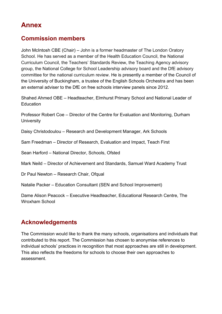# <span id="page-48-0"></span>**Annex**

### **Commission members**

John McIntosh CBE (Chair) – John is a former headmaster of The London Oratory School. He has served as a member of the Health Education Council, the National Curriculum Council, the Teachers' Standards Review, the Teaching Agency advisory group, the National College for School Leadership advisory board and the DfE advisory committee for the national curriculum review. He is presently a member of the Council of the University of Buckingham, a trustee of the English Schools Orchestra and has been an external adviser to the DfE on free schools interview panels since 2012.

Shahed Ahmed OBE – Headteacher, Elmhurst Primary School and National Leader of **Education** 

Professor Robert Coe – Director of the Centre for Evaluation and Monitoring, Durham **University** 

Daisy Christodoulou – Research and Development Manager, Ark Schools

Sam Freedman – Director of Research, Evaluation and Impact, Teach First

Sean Harford – National Director, Schools, Ofsted

Mark Neild – Director of Achievement and Standards, Samuel Ward Academy Trust

Dr Paul Newton – Research Chair, Ofqual

Natalie Packer – Education Consultant (SEN and School Improvement)

Dame Alison Peacock – Executive Headteacher, Educational Research Centre, The Wroxham School

# **Acknowledgements**

The Commission would like to thank the many schools, organisations and individuals that contributed to this report. The Commission has chosen to anonymise references to individual schools' practices in recognition that most approaches are still in development. This also reflects the freedoms for schools to choose their own approaches to assessment.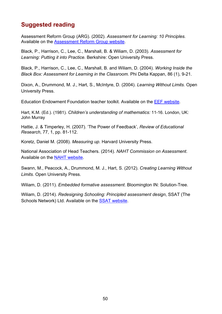# **Suggested reading**

Assessment Reform Group (ARG). (2002). *Assessment for Learning: 10 Principles.* Available on the [Assessment Reform Group website.](http://www.aaia.org.uk/afl/assessment-reform-group/)

Black, P., Harrison, C., Lee, C., Marshall, B. & Wiliam, D. (2003). *Assessment for Learning: Putting it into Practice.* Berkshire: Open University Press.

Black, P., Harrison, C., Lee, C., Marshall, B. and Wiliam, D. (2004). *Working Inside the Black Box: Assessment for Learning in the Classroom.* Phi Delta Kappan, 86 (1), 9-21.

Dixon, A., Drummond, M. J., Hart, S., McIntyre, D. (2004). *Learning Without Limits.* Open University Press.

Education Endowment Foundation teacher toolkit. Available on the [EEF website.](https://educationendowmentfoundation.org.uk/toolkit/toolkit-a-z/)

Hart, K.M. (Ed.). (1981). *Children's understanding of mathematics:* 11-16. London, UK: John Murray

Hattie, J. & Timperley, H. (2007). 'The Power of Feedback', *Review of Educational Research*, 77, 1, pp. 81-112.

Koretz, Daniel M. (2008). *Measuring up*. Harvard University Press.

National Association of Head Teachers. (2014). *NAHT Commission on Assessment*. Available on the [NAHT website.](http://www.naht.org.uk/assets/assessment-commission-report.pdf)

Swann, M., Peacock, A., Drummond, M. J., Hart, S. (2012). *Creating Learning Without Limits.* Open University Press.

Wiliam, D. (2011). *Embedded formative assessment*. Bloomington IN: Solution-Tree.

Wiliam, D. (2014). *Redesigning Schooling: Principled assessment design*, SSAT (The Schools Network) Ltd. Available on the SSAT [website.](https://www.ssatuk.co.uk/wp-content/uploads/2013/09/RS8-Principled-assessment-design-chapter-one.pdf)